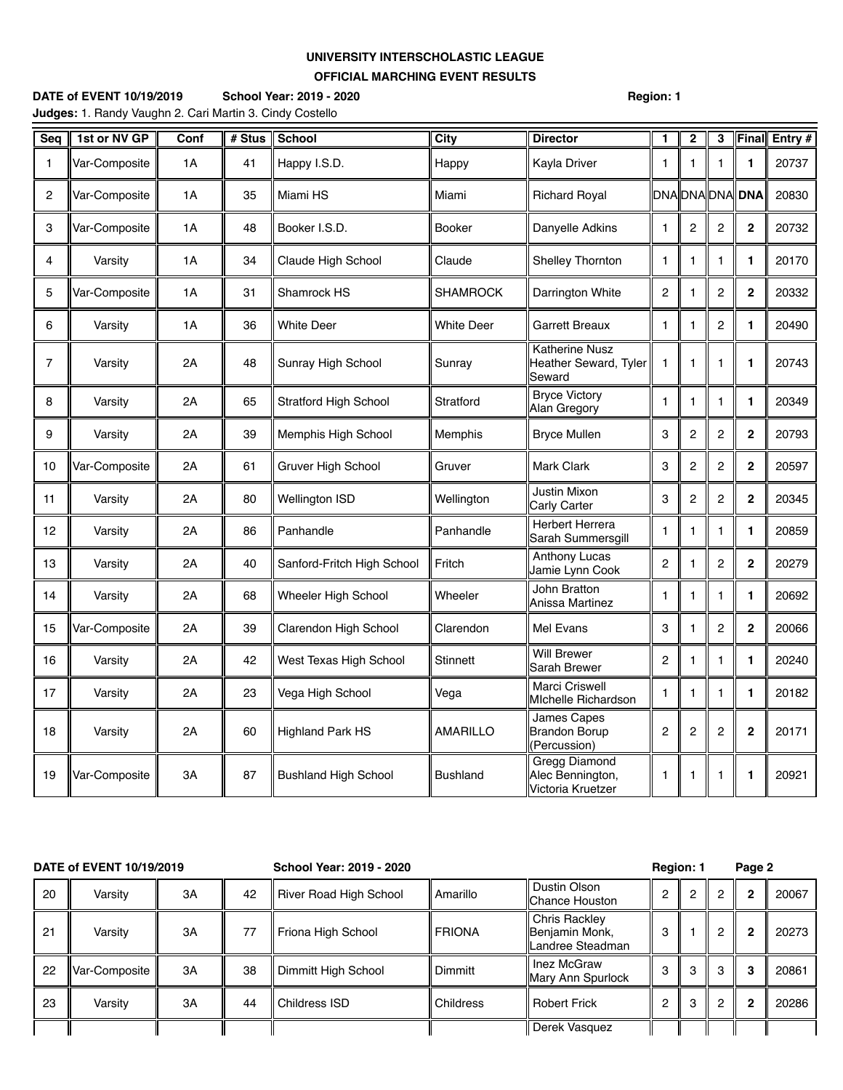## **UNIVERSITY INTERSCHOLASTIC LEAGUE OFFICIAL MARCHING EVENT RESULTS**

| <b>DATE of EVENT 10/19/2019</b>                                 | School Year: 2019 - 2020 | <b>Region: 1</b> |
|-----------------------------------------------------------------|--------------------------|------------------|
| <b>Judges:</b> 1. Randy Vaughn 2. Cari Martin 3. Cindy Costello |                          |                  |

| Seq            | 1st or NV GP  | Conf | # Stus | <b>School</b>                | City              | <b>Director</b>                                          | $\mathbf{1}$   | $\overline{2}$ | 3              | Final           | Entry # |
|----------------|---------------|------|--------|------------------------------|-------------------|----------------------------------------------------------|----------------|----------------|----------------|-----------------|---------|
| 1              | Var-Composite | 1A   | 41     | Happy I.S.D.                 | Happy             | Kayla Driver                                             | -1             | 1              | 1              | 1               | 20737   |
| 2              | Var-Composite | 1A   | 35     | Miami HS                     | Miami             | <b>Richard Royal</b>                                     |                |                |                | DNA DNA DNA DNA | 20830   |
| 3              | Var-Composite | 1A   | 48     | Booker I.S.D.                | <b>Booker</b>     | Danyelle Adkins                                          | $\mathbf{1}$   | $\overline{c}$ | $\overline{c}$ | $\mathbf 2$     | 20732   |
| 4              | Varsity       | 1A   | 34     | Claude High School           | Claude            | Shelley Thornton                                         | 1              | 1              | 1              | 1               | 20170   |
| 5              | Var-Composite | 1A   | 31     | Shamrock HS                  | <b>SHAMROCK</b>   | Darrington White                                         | $\overline{c}$ | 1              | 2              | $\mathbf 2$     | 20332   |
| 6              | Varsity       | 1A   | 36     | <b>White Deer</b>            | <b>White Deer</b> | Garrett Breaux                                           | $\mathbf{1}$   | 1              | 2              | 1               | 20490   |
| $\overline{7}$ | Varsity       | 2A   | 48     | Sunray High School           | Sunray            | <b>Katherine Nusz</b><br>Heather Seward, Tyler<br>Seward | $\overline{1}$ | 1              | 1              | 1               | 20743   |
| 8              | Varsity       | 2A   | 65     | <b>Stratford High School</b> | Stratford         | <b>Bryce Victory</b><br>Alan Gregory                     | $\mathbf{1}$   | $\mathbf{1}$   | 1              | 1               | 20349   |
| 9              | Varsity       | 2A   | 39     | Memphis High School          | <b>Memphis</b>    | <b>Bryce Mullen</b>                                      | 3              | $\overline{c}$ | 2              | $\mathbf 2$     | 20793   |
| 10             | Var-Composite | 2A   | 61     | Gruver High School           | Gruver            | Mark Clark                                               | 3              | 2              | $\overline{2}$ | 2               | 20597   |
| 11             | Varsity       | 2A   | 80     | Wellington ISD               | Wellington        | <b>Justin Mixon</b><br>Carly Carter                      | 3              | $\overline{c}$ | 2              | $\mathbf 2$     | 20345   |
| 12             | Varsity       | 2A   | 86     | Panhandle                    | Panhandle         | <b>Herbert Herrera</b><br>Sarah Summersgill              | $\mathbf{1}$   | 1              | 1              | 1               | 20859   |
| 13             | Varsity       | 2A   | 40     | Sanford-Fritch High School   | Fritch            | <b>Anthony Lucas</b><br>Jamie Lynn Cook                  | 2              | 1              | $\overline{c}$ | $\mathbf{2}$    | 20279   |
| 14             | Varsity       | 2A   | 68     | Wheeler High School          | Wheeler           | John Bratton<br>Anissa Martinez                          | -1             | 1              | 1              | 1               | 20692   |
| 15             | Var-Composite | 2A   | 39     | Clarendon High School        | Clarendon         | Mel Evans                                                | 3              | 1              | $\overline{2}$ | $\mathbf{2}$    | 20066   |
| 16             | Varsity       | 2A   | 42     | West Texas High School       | <b>Stinnett</b>   | <b>Will Brewer</b><br>Sarah Brewer                       | $\overline{2}$ | 1              | 1              | 1               | 20240   |
| 17             | Varsity       | 2A   | 23     | Vega High School             | Vega              | Marci Criswell<br>Michelle Richardson                    | $\mathbf{1}$   | 1              | $\mathbf{1}$   | 1               | 20182   |
| 18             | Varsity       | 2A   | 60     | <b>Highland Park HS</b>      | <b>AMARILLO</b>   | James Capes<br><b>Brandon Borup</b><br>(Percussion)      | $\overline{2}$ | $\overline{2}$ | $\overline{2}$ | $\overline{2}$  | 20171   |
| 19             | Var-Composite | 3A   | 87     | <b>Bushland High School</b>  | <b>Bushland</b>   | Gregg Diamond<br>Alec Bennington,<br>Victoria Kruetzer   | 1              | 1              | 1              | 1               | 20921   |

| DATE of EVENT 10/19/2019 |               |    |    | School Year: 2019 - 2020 |                |                                                     | <b>Region: 1</b> |     |   | Page 2         |       |  |
|--------------------------|---------------|----|----|--------------------------|----------------|-----------------------------------------------------|------------------|-----|---|----------------|-------|--|
| 20                       | Varsity       | 3A | 42 | River Road High School   | Amarillo       | Dustin Olson<br><b>IChance Houston</b>              | $\overline{2}$   |     | 2 | $\overline{2}$ | 20067 |  |
| 21                       | Varsity       | 3A | 77 | Friona High School       | <b>FRIONA</b>  | Chris Rackley<br>Benjamin Monk,<br>Landree Steadman | 3                |     | 2 | $\mathbf{2}$   | 20273 |  |
| 22                       | Var-Composite | 3A | 38 | Dimmitt High School      | <b>Dimmitt</b> | Inez McGraw<br><b>Mary Ann Spurlock</b>             | 3                | 3   | 3 | 3              | 20861 |  |
| 23                       | Varsity       | 3A | 44 | Childress ISD            | Childress      | <b>Robert Frick</b>                                 | 2                | - 3 | റ | $\mathbf{2}$   | 20286 |  |
|                          |               |    |    |                          |                | Derek Vasquez                                       |                  |     |   |                |       |  |